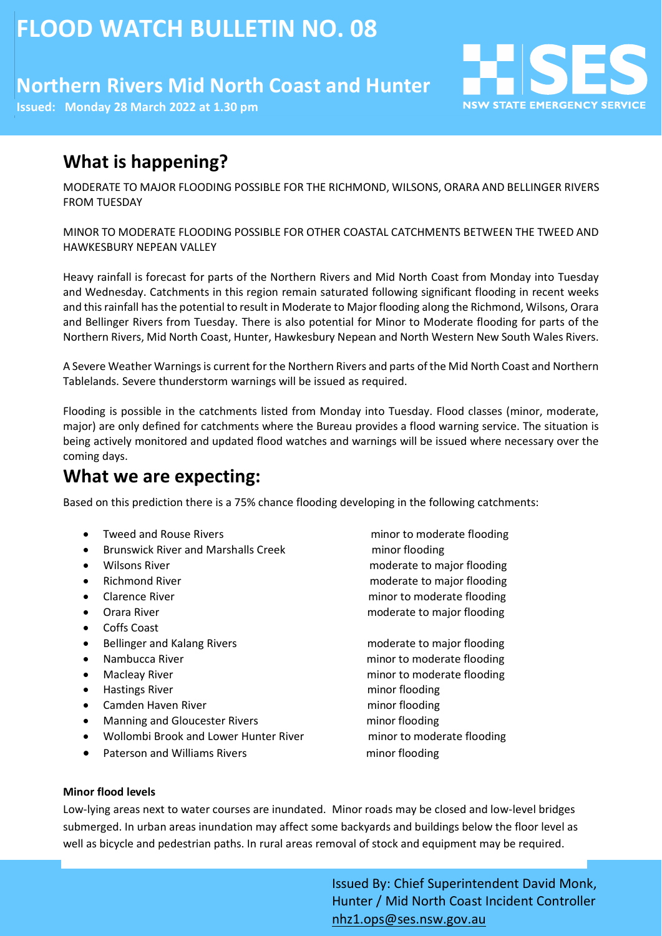# **FLOOD WATCH BULLETIN NO. 08**

## **Northern Rivers Mid North Coast and Hunter**

**Issued: Monday 28 March 2022 at 1.30 pm**

## **What is happening?**

MODERATE TO MAJOR FLOODING POSSIBLE FOR THE RICHMOND, WILSONS, ORARA AND BELLINGER RIVERS FROM TUESDAY

MINOR TO MODERATE FLOODING POSSIBLE FOR OTHER COASTAL CATCHMENTS BETWEEN THE TWEED AND HAWKESBURY NEPEAN VALLEY

Heavy rainfall is forecast for parts of the Northern Rivers and Mid North Coast from Monday into Tuesday and Wednesday. Catchments in this region remain saturated following significant flooding in recent weeks and thisrainfall hasthe potential to result in Moderate to Major flooding along the Richmond, Wilsons, Orara and Bellinger Rivers from Tuesday. There is also potential for Minor to Moderate flooding for parts of the Northern Rivers, Mid North Coast, Hunter, Hawkesbury Nepean and North Western New South Wales Rivers.

A Severe Weather Warnings is current for the Northern Rivers and parts of the Mid North Coast and Northern Tablelands. Severe thunderstorm warnings will be issued as required.

Flooding is possible in the catchments listed from Monday into Tuesday. Flood classes (minor, moderate, major) are only defined for catchments where the Bureau provides a flood warning service. The situation is being actively monitored and updated flood watches and warnings will be issued where necessary over the coming days.

### **What we are expecting:**

Based on this prediction there is a 75% chance flooding developing in the following catchments:

- Tweed and Rouse Rivers minor to moderate flooding
- Brunswick River and Marshalls Creek minor flooding
- 
- 
- 
- 
- Coffs Coast
- Bellinger and Kalang Rivers moderate to major flooding
- 
- 
- Hastings River minor flooding
- Camden Haven River minor flooding
- Manning and Gloucester Rivers must minor flooding
- Wollombi Brook and Lower Hunter River minor to moderate flooding
- Paterson and Williams Rivers must be minor flooding

• Wilsons River moderate to major flooding • Richmond River moderate to major flooding **Clarence River minor to moderate flooding** • Orara River moderate to major flooding

**NSW STATE EMERGENCY SERVICE** 

• Nambucca River minor to moderate flooding • Macleay River minor to moderate flooding

#### **Minor flood levels**

Low-lying areas next to water courses are inundated. Minor roads may be closed and low-level bridges submerged. In urban areas inundation may affect some backyards and buildings below the floor level as well as bicycle and pedestrian paths. In rural areas removal of stock and equipment may be required.

> Issued By: Chief Superintendent David Monk, Hunter / Mid North Coast Incident Controller [nhz1.ops@ses.nsw.gov.au](mailto:nhz1.ops@ses.nsw.gov.au)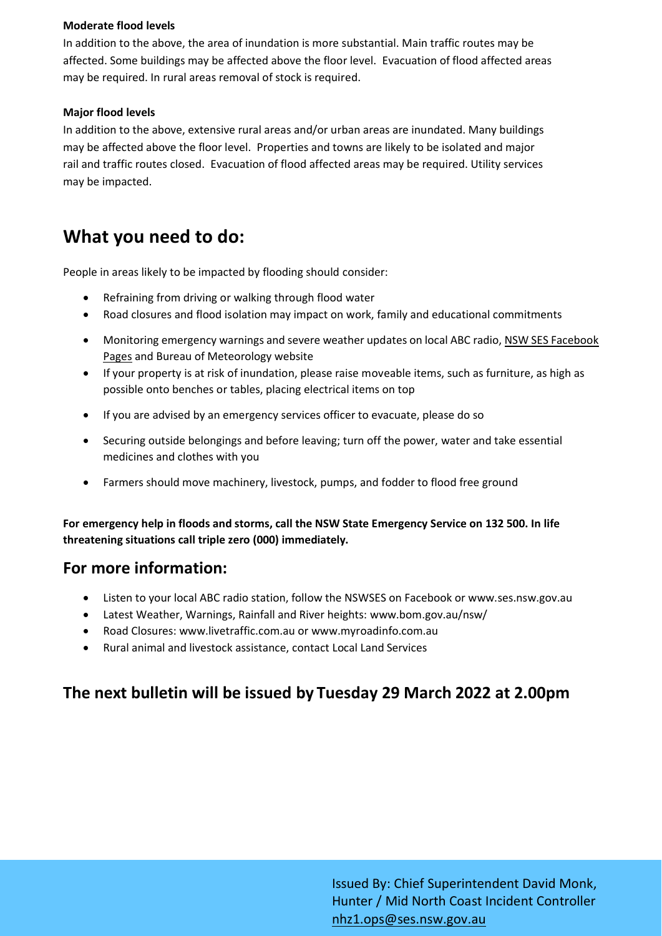#### **Moderate flood levels**

In addition to the above, the area of inundation is more substantial. Main traffic routes may be affected. Some buildings may be affected above the floor level. Evacuation of flood affected areas may be required. In rural areas removal of stock is required.

#### **Major flood levels**

In addition to the above, extensive rural areas and/or urban areas are inundated. Many buildings may be affected above the floor level. Properties and towns are likely to be isolated and major rail and traffic routes closed. Evacuation of flood affected areas may be required. Utility services may be impacted.

### **What you need to do:**

People in areas likely to be impacted by flooding should consider:

- Refraining from driving or walking through flood water
- Road closures and flood isolation may impact on work, family and educational commitments
- Monitoring emergency warnings and severe weather updates on local ABC radio, NSW SES Facebook [Pages](https://www.facebook.com/NSWSESRichmondTweed/) and Bureau of Meteorology website
- If your property is at risk of inundation, please raise moveable items, such as furniture, as high as possible onto benches or tables, placing electrical items on top
- If you are advised by an emergency services officer to evacuate, please do so
- Securing outside belongings and before leaving; turn off the power, water and take essential medicines and clothes with you
- Farmers should move machinery, livestock, pumps, and fodder to flood free ground

**For emergency help in floods and storms, call the NSW State Emergency Service on 132 500. In life threatening situations call triple zero (000) immediately.**

### **For more information:**

- Listen to your local ABC radio station, follow the NSWSES on Facebook or www.ses.nsw.gov.au
- Latest Weather, Warnings, Rainfall and River heights: www.bom.gov.au/nsw/
- Road Closures: www.livetraffic.com.au or www.myroadinfo.com.au
- Rural animal and livestock assistance, contact Local Land Services

### **The next bulletin will be issued by Tuesday 29 March 2022 at 2.00pm**

Issued By: Chief Superintendent David Monk, Hunter / Mid North Coast Incident Controller [nhz1.ops@ses.nsw.gov.au](mailto:nhz1.ops@ses.nsw.gov.au)